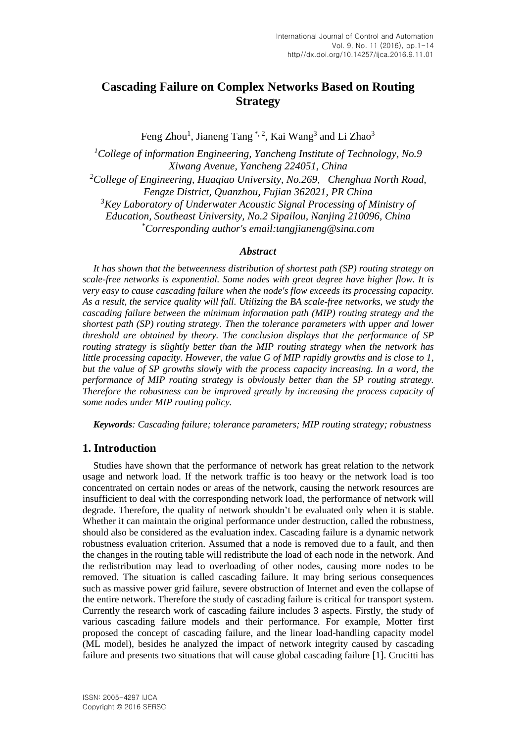# **Cascading Failure on Complex Networks Based on Routing Strategy**

Feng Zhou<sup>1</sup>, Jianeng Tang<sup>\*, 2</sup>, Kai Wang<sup>3</sup> and Li Zhao<sup>3</sup>

*<sup>1</sup>College of information Engineering, Yancheng Institute of Technology, No.9 Xiwang Avenue, Yancheng 224051, China <sup>2</sup>College of Engineering, Huaqiao University, No.269*,*Chenghua North Road,*

*Fengze District, Quanzhou, Fujian 362021, PR China <sup>3</sup>Key Laboratory of Underwater Acoustic Signal Processing of Ministry of Education, Southeast University, No.2 Sipailou, Nanjing 210096, China \*Corresponding author's email:tangjianeng@sina.com*

### *Abstract*

*It has shown that the betweenness distribution of shortest path (SP) routing strategy on scale-free networks is exponential. Some nodes with great degree have higher flow. It is very easy to cause cascading failure when the node's flow exceeds its processing capacity. As a result, the service quality will fall. Utilizing the BA scale-free networks, we study the cascading failure between the minimum information path (MIP) routing strategy and the shortest path (SP) routing strategy. Then the tolerance parameters with upper and lower threshold are obtained by theory. The conclusion displays that the performance of SP routing strategy is slightly better than the MIP routing strategy when the network has little processing capacity. However, the value G of MIP rapidly growths and is close to 1, but the value of SP growths slowly with the process capacity increasing. In a word, the performance of MIP routing strategy is obviously better than the SP routing strategy. Therefore the robustness can be improved greatly by increasing the process capacity of some nodes under MIP routing policy.*

*Keywords: Cascading failure; tolerance parameters; MIP routing strategy; robustness*

## **1. Introduction**

Studies have shown that the performance of network has great relation to the network usage and network load. If the network traffic is too heavy or the network load is too concentrated on certain nodes or areas of the network, causing the network resources are insufficient to deal with the corresponding network load, the performance of network will degrade. Therefore, the quality of network shouldn't be evaluated only when it is stable. Whether it can maintain the original performance under destruction, called the robustness, should also be considered as the evaluation index. Cascading failure is a dynamic network robustness evaluation criterion. Assumed that a node is removed due to a fault, and then the changes in the routing table will redistribute the load of each node in the network. And the redistribution may lead to overloading of other nodes, causing more nodes to be removed. The situation is called cascading failure. It may bring serious consequences such as massive power grid failure, severe obstruction of Internet and even the collapse of the entire network. Therefore the study of cascading failure is critical for transport system. Currently the research work of cascading failure includes 3 aspects. Firstly, the study of various cascading failure models and their performance. For example, Motter first proposed the concept of cascading failure, and the linear load-handling capacity model (ML model), besides he analyzed the impact of network integrity caused by cascading failure and presents two situations that will cause global cascading failure [1]. Crucitti has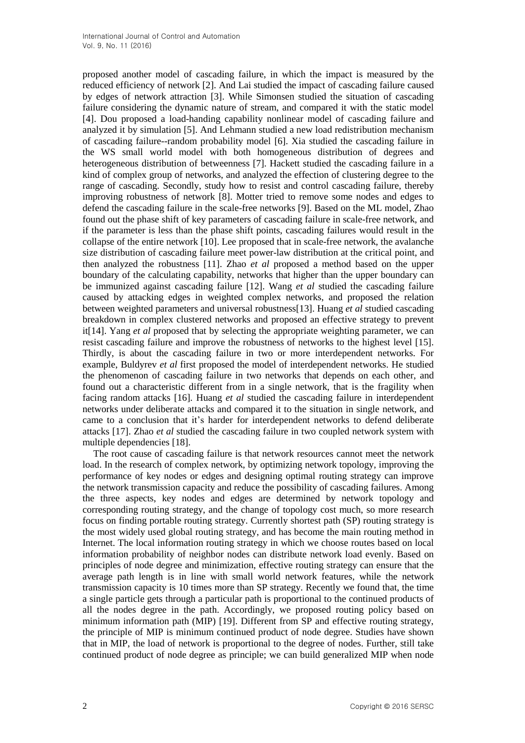proposed another model of cascading failure, in which the impact is measured by the reduced efficiency of network [2]. And Lai studied the impact of cascading failure caused by edges of network attraction [3]. While Simonsen studied the situation of cascading failure considering the dynamic nature of stream, and compared it with the static model [4]. Dou proposed a load-handing capability nonlinear model of cascading failure and analyzed it by simulation [5]. And Lehmann studied a new load redistribution mechanism of cascading failure--random probability model [6]. Xia studied the cascading failure in the WS small world model with both homogeneous distribution of degrees and heterogeneous distribution of betweenness [7]. Hackett studied the cascading failure in a kind of complex group of networks, and analyzed the effection of clustering degree to the range of cascading. Secondly, study how to resist and control cascading failure, thereby improving robustness of network [8]. Motter tried to remove some nodes and edges to defend the cascading failure in the scale-free networks [9]. Based on the ML model, Zhao found out the phase shift of key parameters of cascading failure in scale-free network, and if the parameter is less than the phase shift points, cascading failures would result in the collapse of the entire network [10]. Lee proposed that in scale-free network, the avalanche size distribution of cascading failure meet power-law distribution at the critical point, and then analyzed the robustness [11]. Zhao *et al* proposed a method based on the upper boundary of the calculating capability, networks that higher than the upper boundary can be immunized against cascading failure [12]. Wang *et al* studied the cascading failure caused by attacking edges in weighted complex networks, and proposed the relation between weighted parameters and universal robustness[13]. Huang *et al* studied cascading breakdown in complex clustered networks and proposed an effective strategy to prevent it[14]. Yang *et al* proposed that by selecting the appropriate weighting parameter, we can resist cascading failure and improve the robustness of networks to the highest level [15]. Thirdly, is about the cascading failure in two or more interdependent networks. For example, Buldyrev *et al* first proposed the model of interdependent networks. He studied the phenomenon of cascading failure in two networks that depends on each other, and found out a characteristic different from in a single network, that is the fragility when facing random attacks [16]. Huang *et al* studied the cascading failure in interdependent networks under deliberate attacks and compared it to the situation in single network, and came to a conclusion that it's harder for interdependent networks to defend deliberate attacks [17]. Zhao *et al* studied the cascading failure in two coupled network system with multiple dependencies [18].

The root cause of cascading failure is that network resources cannot meet the network load. In the research of complex network, by optimizing network [topology,](http://dict.cnki.net/dict_result.aspx?searchword=%e7%bd%91%e7%bb%9c%e6%8b%93%e6%89%91%e7%bb%93%e6%9e%84&tjType=sentence&style=&t=network+topology) improving the performance of key nodes or edges and designing optimal routing strategy can improve the network transmission capacity and reduce the possibility of cascading failures. Among the three aspects, key nodes and edges are determined by network topology and corresponding routing strategy, and the change of topology cost much, so more research focus on finding portable routing strategy. Currently shortest path (SP) routing strategy is the most widely used global routing strategy, and has become the main routing method in Internet. The local information routing strategy in which we choose routes based on local information probability of neighbor nodes can distribute network load evenly. Based on principles of node degree and minimization, effective routing strategy can ensure that the average path length is in line with small world network features, while the network transmission capacity is 10 times more than SP strategy. Recently we found that, the time a single particle gets through a particular path is proportional to the continued products of all the nodes degree in the path. Accordingly, we proposed routing policy based on minimum information path (MIP) [19]. Different from SP and effective routing strategy, the principle of MIP is minimum continued product of node degree. Studies have shown that in MIP, the load of network is proportional to the degree of nodes. Further, still take continued product of node degree as principle; we can build generalized MIP when node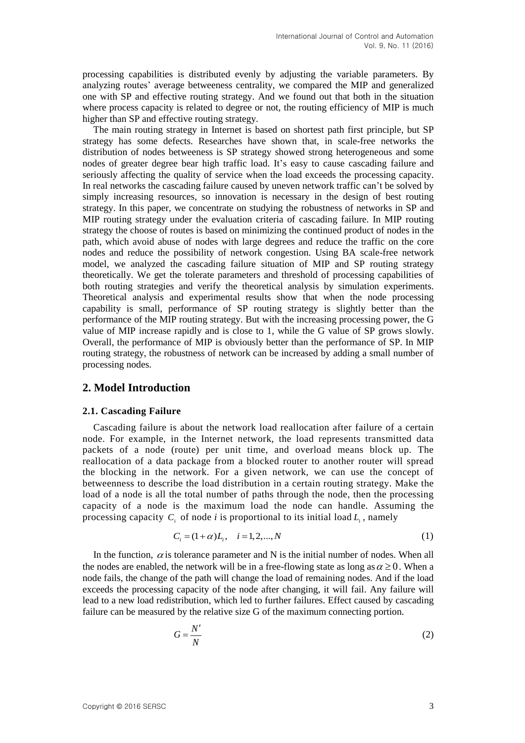processing capabilities is distributed evenly by adjusting the variable parameters. By analyzing routes' average betweeness centrality, we compared the MIP and generalized one with SP and effective routing strategy. And we found out that both in the situation where process capacity is related to degree or not, the routing efficiency of MIP is much higher than SP and effective routing strategy.

The main routing strategy in Internet is based on shortest path first principle, but SP strategy has some defects. Researches have shown that, in scale-free networks the distribution of nodes betweeness is SP strategy showed strong heterogeneous and some nodes of greater degree bear high traffic load. It's easy to cause cascading failure and seriously affecting the quality of service when the load exceeds the processing capacity. In real networks the cascading failure caused by uneven network traffic can't be solved by simply increasing resources, so innovation is necessary in the design of best routing strategy. In this paper, we concentrate on studying the robustness of networks in SP and MIP routing strategy under the evaluation criteria of cascading failure. In MIP routing strategy the choose of routes is based on minimizing the continued product of nodes in the path, which avoid abuse of nodes with large degrees and reduce the traffic on the core nodes and reduce the possibility of network congestion. Using BA scale-free network model, we analyzed the cascading failure situation of MIP and SP routing strategy theoretically. We get the tolerate parameters and threshold of processing capabilities of both routing strategies and verify the theoretical analysis by simulation experiments. Theoretical analysis and experimental results show that when the node processing capability is small, performance of SP routing strategy is slightly better than the performance of the MIP routing strategy. But with the increasing processing power, the G value of MIP increase rapidly and is close to 1, while the G value of SP grows slowly. Overall, the performance of MIP is obviously better than the performance of SP. In MIP routing strategy, the robustness of network can be increased by adding a small number of processing nodes.

### **2. Model Introduction**

#### **2.1. Cascading Failure**

Cascading failure is about the network load reallocation after failure of a certain node. For example, in the Internet network, the load represents transmitted data packets of a node (route) per unit time, and overload means block up. The reallocation of a data package from a blocked router to another router will spread the blocking in the network. For a given network, we can use the concept of betweenness to describe the load distribution in a certain routing strategy. Make the load of a node is all the total number of paths through the node, then the processing capacity of a node is the maximum load the node can handle. Assuming the processing capacity  $C_i$  of node *i* is proportional to its initial load  $L_i$ , namely

$$
C_i = (1 + \alpha)L_i, \quad i = 1, 2, ..., N
$$
 (1)

In the function,  $\alpha$  is tolerance parameter and N is the initial number of nodes. When all the nodes are enabled, the network will be in a free-flowing state as long as  $\alpha \geq 0$ . When a node fails, the change of the path will change the load of remaining nodes. And if the load exceeds the processing capacity of the node after changing, it will fail. Any failure will lead to a new load redistribution, which led to further failures. Effect caused by cascading failure can be measured by the relative size G of the maximum connecting portion.

$$
G = \frac{N'}{N} \tag{2}
$$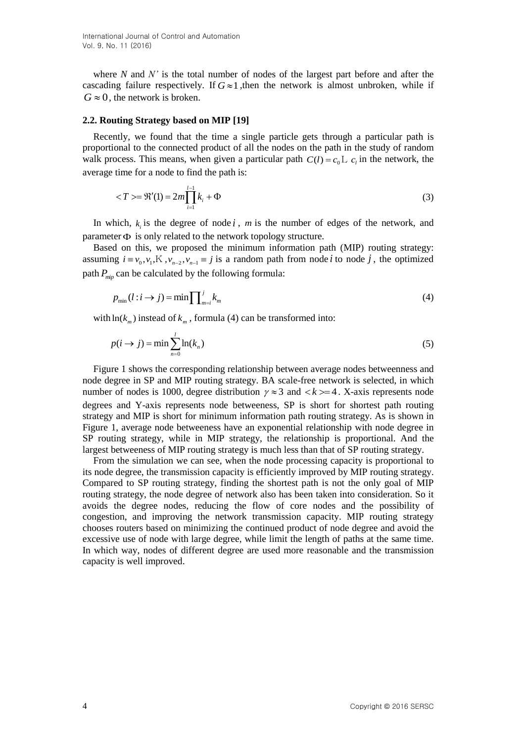where *N* and *N'* is the total number of nodes of the largest part before and after the cascading failure respectively. If  $G \approx 1$ , then the network is almost unbroken, while if  $G \approx 0$ , the network is broken.

#### **2.2. Routing Strategy based on MIP [19]**

Recently, we found that the time a single particle gets through a particular path is proportional to the connected product of all the nodes on the path in the study of random walk process. This means, when given a particular path  $C(l) = c_0 L c_l$  in the network, the average time for a node to find the path is:

$$
\langle T \rangle = \Re'(1) = 2m \prod_{i=1}^{l-1} k_i + \Phi
$$
\n(3)

In which,  $k_i$  is the degree of node *i*, *m* is the number of edges of the network, and parameter  $\Phi$  is only related to the network topology structure.

Based on this, we proposed the minimum information path (MIP) routing strategy: assuming  $i \equiv v_0, v_1, K, v_{n-2}, v_{n-1} \equiv j$  is a random path from node *i* to node *j*, the optimized path *<sup>P</sup>mip* can be calculated by the following formula:

$$
p_{\min}(l:i \to j) = \min \prod_{m=i}^{j} k_m \tag{4}
$$

with  $\ln(k_m)$  instead of  $k_m$ , formula (4) can be transformed into:

$$
p(i \to j) = \min \sum_{n=0}^{l} \ln(k_n)
$$
\n(5)

Figure 1 shows the corresponding relationship between average nodes betweenness and node degree in SP and MIP routing strategy. BA scale-free network is selected, in which number of nodes is 1000, degree distribution  $\gamma \approx 3$  and  $\langle k \rangle = 4$ . X-axis represents node degrees and Y-axis represents node betweeness, SP is short for shortest path routing strategy and MIP is short for minimum information path routing strategy. As is shown in Figure 1, average node betweeness have an exponential relationship with node degree in SP routing strategy, while in MIP strategy, the relationship is proportional. And the largest betweeness of MIP routing strategy is much less than that of SP routing strategy.

From the simulation we can see, when the node processing capacity is proportional to its node degree, the transmission capacity is efficiently improved by MIP routing strategy. Compared to SP routing strategy, finding the shortest path is not the only goal of MIP routing strategy, the node degree of network also has been taken into consideration. So it avoids the degree nodes, reducing the flow of core nodes and the possibility of congestion, and improving the network transmission capacity. MIP routing strategy chooses routers based on minimizing the continued product of node degree and avoid the excessive use of node with large degree, while limit the length of paths at the same time. In which way, nodes of different degree are used more reasonable and the transmission capacity is well improved.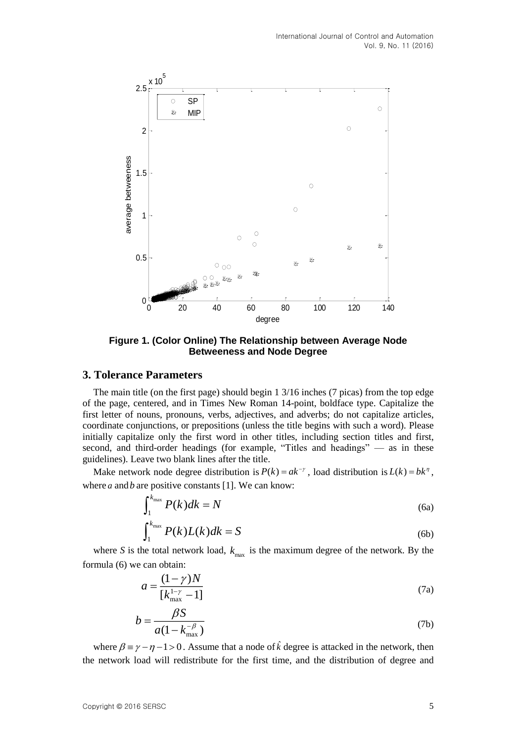

**Figure 1. (Color Online) The Relationship between Average Node Betweeness and Node Degree**

## **3. Tolerance Parameters**

The main title (on the first page) should begin 1 3/16 inches (7 picas) from the top edge of the page, centered, and in Times New Roman 14-point, boldface type. Capitalize the first letter of nouns, pronouns, verbs, adjectives, and adverbs; do not capitalize articles, coordinate conjunctions, or prepositions (unless the title begins with such a word). Please initially capitalize only the first word in other titles, including section titles and first, second, and third-order headings (for example, "Titles and headings" — as in these guidelines). Leave two blank lines after the title.

Make network node degree distribution is  $P(k) = ak^{-\gamma}$ , load distribution is  $L(k) = bk^{\gamma}$ , where  $a$  and  $b$  are positive constants [1]. We can know:

$$
\int_{1}^{k_{\max}} P(k)dk = N \tag{6a}
$$

$$
\int_{1}^{k_{\max}} P(k)L(k)dk = S \tag{6b}
$$

where *S* is the total network load,  $k_{\text{max}}$  is the maximum degree of the network. By the formula (6) we can obtain:

$$
a = \frac{(1 - \gamma)N}{[k_{\text{max}}^{1 - \gamma} - 1]}
$$
 (7a)

$$
b = \frac{\beta S}{a(1 - k_{\text{max}}^{-\beta})}
$$
 (7b)

where  $\beta = \gamma - \eta - 1 > 0$ . Assume that a node of  $\hat{k}$  degree is attacked in the network, then the network load will redistribute for the first time, and the distribution of degree and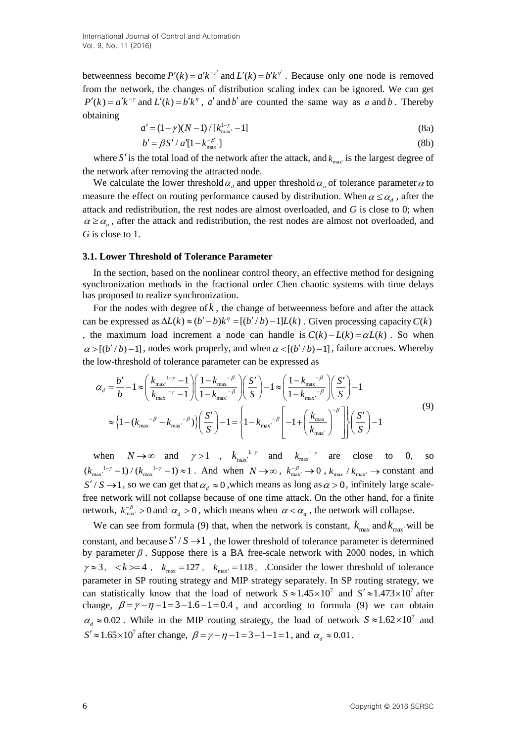betweenness become  $P'(k) = a'k^{-\gamma'}$  and  $L'(k) = b'k^{\eta'}$ . Because only one node is removed from the network, the changes of distribution scaling index can be ignored. We can get  $P'(k) = a'k^{-\gamma}$  and  $L'(k) = b'k^{\eta}$ , *a'* and *b'* are counted the same way as *a* and *b*. Thereby obtaining

$$
a' = (1 - \gamma)(N - 1) / [k_{\text{max}}^{1 - \gamma} - 1]
$$
\n(8a)

$$
b' = \beta S' / a'[1 - k_{\text{max}}^{-\beta'}]
$$
 (8b)

where S' is the total load of the network after the attack, and  $k_{\text{max}}$  is the largest degree of the network after removing the attracted node.

We calculate the lower threshold  $\alpha_d$  and upper threshold  $\alpha_u$  of tolerance parameter  $\alpha$  to measure the effect on routing performance caused by distribution. When  $\alpha \leq \alpha_d$ , after the attack and redistribution, the rest nodes are almost overloaded, and *G* is close to 0; when  $\alpha \geq \alpha_{\mu}$ , after the attack and redistribution, the rest nodes are almost not overloaded, and *G* is close to 1.

#### **3.1. Lower Threshold of Tolerance Parameter**

In the section, based on the nonlinear control theory, an effective method for designing synchronization methods in the fractional order Chen chaotic systems with time delays has proposed to realize synchronization.

For the nodes with degree of *k* , the change of betweenness before and after the attack can be expressed as  $\Delta L(k) \approx (b'-b)k^{\eta} = [(b'/b) - 1]L(k)$ . Given processing capacity  $C(k)$ , the maximum load increment a node can handle is  $C(k) - L(k) = \alpha L(k)$ . So when  $\alpha$  >[( $b'/b$ ) -1], nodes work properly, and when  $\alpha$  <[( $b'/b$ ) -1], failure accrues. Whereby the low-threshold of tolerance parameter can be expressed as

$$
\alpha_{d} = \frac{b'}{b} - 1 \approx \left(\frac{k_{\text{max}}^{1-\gamma} - 1}{k_{\text{max}}^{1-\gamma} - 1}\right) \left(\frac{1 - k_{\text{max}}^{-\beta}}{1 - k_{\text{max}}^{-\beta}}\right) \left(\frac{S'}{S}\right) - 1 \approx \left(\frac{1 - k_{\text{max}}^{-\beta}}{1 - k_{\text{max}}^{-\beta}}\right) \left(\frac{S'}{S}\right) - 1
$$
  

$$
\approx \left\{1 - \left(k_{\text{max}}^{-\beta} - k_{\text{max}}^{-\beta}\right)\left\{\frac{S'}{S}\right\} - 1 = \left\{1 - k_{\text{max}}^{-\beta} \left[-1 + \left(\frac{k_{\text{max}}}{k_{\text{max}}}\right)^{-\beta}\right]\right\} \left(\frac{S'}{S}\right) - 1
$$
\n(9)

when  $N \to \infty$  and  $\gamma > 1$ ,  $k_{\text{max}}^{1-\gamma}$  and  $k_{\text{max}}^{1-\gamma}$  are close to 0, so  $(k_{\max}^{1-\gamma} - 1)/(k_{\max}^{1-\gamma} - 1) \approx 1$ . And when  $N \to \infty$ ,  $k_{\max}^{-\beta} \to 0$ ,  $k_{\max} / k_{\max} \to \text{constant}$  and  $S'/S \rightarrow 1$ , so we can get that  $\alpha_d \approx 0$ , which means as long as  $\alpha > 0$ , infinitely large scalefree network will not collapse because of one time attack. On the other hand, for a finite network,  $k_{\text{max}}^{-\beta} > 0$  and  $\alpha_d > 0$ , which means when  $\alpha < \alpha_d$ , the network will collapse.

We can see from formula (9) that, when the network is constant,  $k_{\text{max}}$  and  $k_{\text{max}}$  will be constant, and because  $S'/S \rightarrow 1$ , the lower threshold of tolerance parameter is determined by parameter  $\beta$ . Suppose there is a BA free-scale network with 2000 nodes, in which  $\gamma \approx 3$ ,  $\langle k \rangle = 4$ ,  $k_{\text{max}} = 127$ ,  $k_{\text{max}} = 118$ , Consider the lower threshold of tolerance parameter in SP routing strategy and MIP strategy separately. In SP routing strategy, we can statistically know that the load of network  $S \approx 1.45 \times 10^7$  and  $S' \approx 1.473 \times 10^7$  after change,  $\beta = \gamma - \eta - 1 = 3 - 1.6 - 1 = 0.4$ , and according to formula (9) we can obtain  $\alpha_d \approx 0.02$ . While in the MIP routing strategy, the load of network  $S \approx 1.62 \times 10^7$  and  $S' \approx 1.65 \times 10^7$  after change,  $\beta = \gamma - \eta - 1 = 3 - 1 - 1 = 1$ , and  $\alpha_d \approx 0.01$ .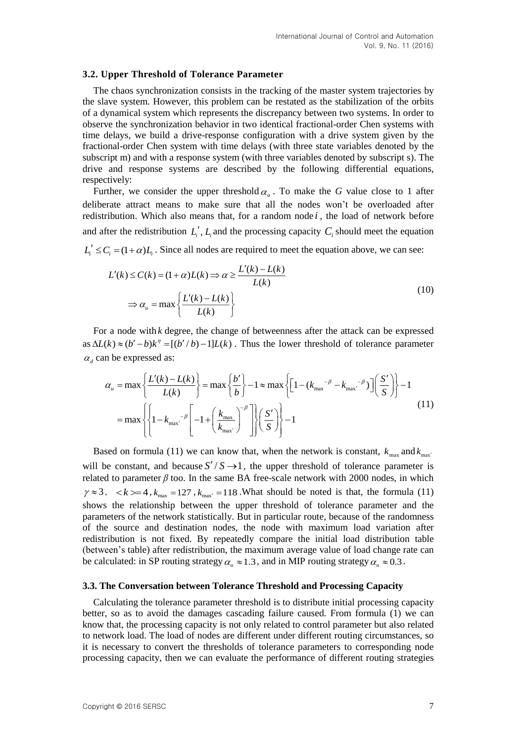#### **3.2. Upper Threshold of Tolerance Parameter**

The chaos synchronization consists in the tracking of the master system trajectories by the slave system. However, this problem can be restated as the stabilization of the orbits of a dynamical system which represents the discrepancy between two systems. In order to observe the synchronization behavior in two identical fractional-order Chen systems with time delays, we build a drive-response configuration with a drive system given by the fractional-order Chen system with time delays (with three state variables denoted by the subscript m) and with a response system (with three variables denoted by subscript s). The drive and response systems are described by the following differential equations, respectively:

Further, we consider the upper threshold  $\alpha_u$ . To make the *G* value close to 1 after deliberate attract means to make sure that all the nodes won't be overloaded after redistribution. Which also means that, for a random node *i* , the load of network before and after the redistribution  $L_i'$ ,  $L_i$  and the processing capacity  $C_i$  should meet the equation  $L_i' \leq C_i = (1 + \alpha)L_i$ . Since all nodes are required to meet the equation above, we can see:

$$
L'(k) \le C(k) = (1+\alpha)L(k) \Rightarrow \alpha \ge \frac{L'(k) - L(k)}{L(k)}
$$
  

$$
\Rightarrow \alpha_u = \max\left\{\frac{L'(k) - L(k)}{L(k)}\right\}
$$
(10)

For a node with *k* degree, the change of betweenness after the attack can be expressed as  $\Delta L(k) \approx (b'-b)k^{\eta} = [(b'/b)-1]L(k)$ . Thus the lower threshold of tolerance parameter  $\alpha_d$  can be expressed as:

$$
\alpha_{u} = \max \left\{ \frac{L'(k) - L(k)}{L(k)} \right\} = \max \left\{ \frac{b'}{b} \right\} - 1 \approx \max \left\{ \left[ 1 - (k_{\max}^{-\beta} - k_{\max}^{-\beta}) \right] \left( \frac{S'}{S} \right) \right\} - 1
$$

$$
= \max \left\{ \left\{ 1 - k_{\max}^{-\beta} \left[ -1 + \left( \frac{k_{\max}}{k_{\max}} \right)^{-\beta} \right] \right\} \left( \frac{S'}{S} \right) \right\} - 1
$$
(11)

Based on formula (11) we can know that, when the network is constant,  $k_{\text{max}}$  and  $k_{\text{max}}$ will be constant, and because  $S'/S \rightarrow 1$ , the upper threshold of tolerance parameter is related to parameter  $\beta$  too. In the same BA free-scale network with 2000 nodes, in which  $\gamma \approx 3$ ,  $\langle k \rangle = 4$ ,  $k_{\text{max}} = 127$ ,  $k_{\text{max}} = 118$ . What should be noted is that, the formula (11) shows the relationship between the upper threshold of tolerance parameter and the parameters of the network statistically. But in particular route, because of the randomness of the source and destination nodes, the node with maximum load variation after redistribution is not fixed. By repeatedly compare the initial load distribution table (between's table) after redistribution, the maximum average value of load change rate can be calculated: in SP routing strategy  $\alpha_u \approx 1.3$ , and in MIP routing strategy  $\alpha_u \approx 0.3$ .

#### **3.3. The Conversation between Tolerance Threshold and Processing Capacity**

Calculating the tolerance parameter threshold is to distribute initial processing capacity better, so as to avoid the damages cascading failure caused. From formula (1) we can know that, the processing capacity is not only related to control parameter but also related to network load. The load of nodes are different under different routing circumstances, so it is necessary to convert the thresholds of tolerance parameters to corresponding node processing capacity, then we can evaluate the performance of different routing strategies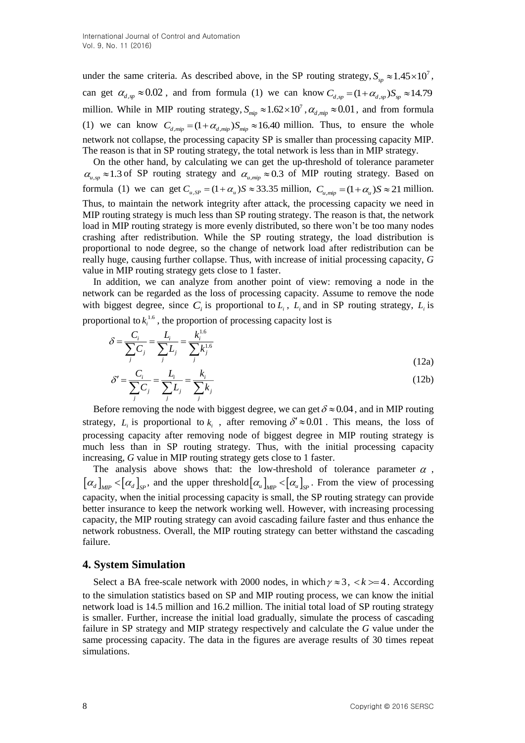under the same criteria. As described above, in the SP routing strategy,  $S_{sp} \approx 1.45 \times 10^{7}$ , can get  $\alpha_{d,sp} \approx 0.02$ , and from formula (1) we can know  $C_{d,sp} = (1 + \alpha_{d,sp})S_{sp} \approx 14.79$ million. While in MIP routing strategy,  $S_{\mu\nu\rho} \approx 1.62 \times 10^7$ ,  $\alpha_{d,\mu\nu\rho} \approx 0.01$ , and from formula (1) we can know  $C_{d, min} = (1 + \alpha_{d, min}) S_{min} \approx 16.40$  million. Thus, to ensure the whole network not collapse, the processing capacity SP is smaller than processing capacity MIP. The reason is that in SP routing strategy, the total network is less than in MIP strategy.

On the other hand, by calculating we can get the up-threshold of tolerance parameter  $\alpha_{u,sp} \approx 1.3$  of SP routing strategy and  $\alpha_{u,mp} \approx 0.3$  of MIP routing strategy. Based on formula (1) we can get  $C_{u,SP} = (1 + \alpha_u)S \approx 33.35$  million,  $C_{u, mip} = (1 + \alpha_u)S \approx 21$  million. Thus, to maintain the network integrity after attack, the processing capacity we need in MIP routing strategy is much less than SP routing strategy. The reason is that, the network load in MIP routing strategy is more evenly distributed, so there won't be too many nodes crashing after redistribution. While the SP routing strategy, the load distribution is proportional to node degree, so the change of network load after redistribution can be really huge, causing further collapse. Thus, with increase of initial processing capacity, *G* value in MIP routing strategy gets close to 1 faster.

In addition, we can analyze from another point of view: removing a node in the network can be regarded as the loss of processing capacity. Assume to remove the node with biggest degree, since  $C_i$  is proportional to  $L_i$ ,  $L_i$  and in SP routing strategy,  $L_i$  is proportional to  $k_i^{1.6}$ , the proportion of processing capacity lost is

$$
\delta = \frac{C_i}{\sum_j C_j} = \frac{L_i}{\sum_j L_j} = \frac{k_i^{1.6}}{\sum_j k_j^{1.6}}
$$
\n(12a)\n
$$
\delta' = \frac{C_i}{\sum_j k_j} = \frac{L_i}{\sum_k k_j} = \frac{k_i}{\sum_k k_j}
$$
\n(12b)

$$
\delta' = \frac{C_i}{\sum_j C_j} = \frac{L_i}{\sum_j L_j} = \frac{\kappa_i}{\sum_j k_j}
$$
(12b)

Before removing the node with biggest degree, we can get  $\delta \approx 0.04$ , and in MIP routing strategy,  $L_i$  is proportional to  $k_i$ , after removing  $\delta' \approx 0.01$ . This means, the loss of processing capacity after removing node of biggest degree in MIP routing strategy is much less than in SP routing strategy. Thus, with the initial processing capacity increasing, *G* value in MIP routing strategy gets close to 1 faster.

The analysis above shows that: the low-threshold of tolerance parameter  $\alpha$ ,  $\left[\alpha_d\right]_{MIP}$   $\lt [\alpha_d]_{\text{SP}}$ , and the upper threshold  $\left[\alpha_u\right]_{MIP}$   $\lt [\alpha_u]_{\text{SP}}$ . From the view of processing capacity, when the initial processing capacity is small, the SP routing strategy can provide better insurance to keep the network working well. However, with increasing processing capacity, the MIP routing strategy can avoid cascading failure faster and thus enhance the network robustness. Overall, the MIP routing strategy can better withstand the cascading failure.

### **4. System Simulation**

Select a BA free-scale network with 2000 nodes, in which  $\gamma \approx 3$ ,  $\langle k \rangle = 4$ . According to the simulation statistics based on SP and MIP routing process, we can know the initial network load is 14.5 million and 16.2 million. The initial total load of SP routing strategy is smaller. Further, increase the initial load gradually, simulate the process of cascading failure in SP strategy and MIP strategy respectively and calculate the *G* value under the same processing capacity. The data in the figures are average results of 30 times repeat simulations.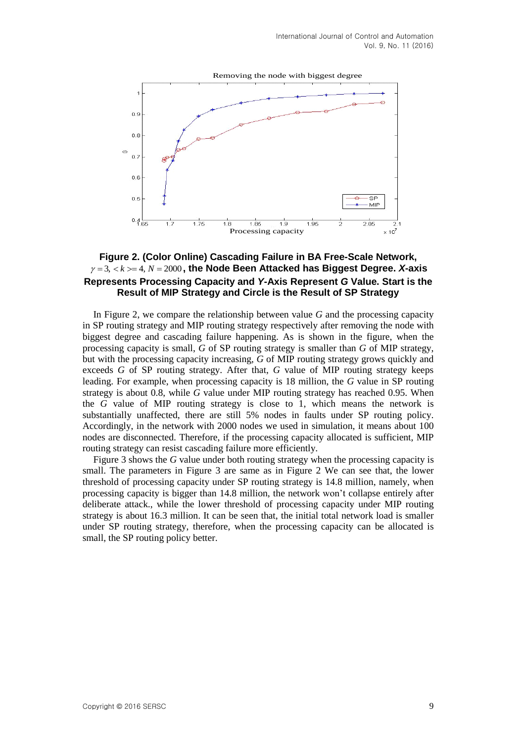

## **Figure 2. (Color Online) Cascading Failure in BA Free-Scale Network,**  $\gamma = 3, \langle k \rangle = 4, N = 2000$ , the Node Been Attacked has Biggest Degree. X-axis **Represents Processing Capacity and** *Y***-Axis Represent** *G* **Value. Start is the Result of MIP Strategy and Circle is the Result of SP Strategy**

In Figure 2, we compare the relationship between value *G* and the processing capacity in SP routing strategy and MIP routing strategy respectively after removing the node with biggest degree and cascading failure happening. As is shown in the figure, when the processing capacity is small, *G* of SP routing strategy is smaller than *G* of MIP strategy, but with the processing capacity increasing, *G* of MIP routing strategy grows quickly and exceeds *G* of SP routing strategy. After that, *G* value of MIP routing strategy keeps leading. For example, when processing capacity is 18 million, the *G* value in SP routing strategy is about 0.8, while *G* value under MIP routing strategy has reached 0.95. When the *G* value of MIP routing strategy is close to 1, which means the network is substantially unaffected, there are still 5% nodes in faults under SP routing policy. Accordingly, in the network with 2000 nodes we used in simulation, it means about 100 nodes are disconnected. Therefore, if the processing capacity allocated is sufficient, MIP routing strategy can resist cascading failure more efficiently.

Figure 3 shows the *G* value under both routing strategy when the processing capacity is small. The parameters in Figure 3 are same as in Figure 2 We can see that, the lower threshold of processing capacity under SP routing strategy is 14.8 million, namely, when processing capacity is bigger than 14.8 million, the network won't collapse entirely after deliberate attack., while the lower threshold of processing capacity under MIP routing strategy is about 16.3 million. It can be seen that, the initial total network load is smaller under SP routing strategy, therefore, when the processing capacity can be allocated is small, the SP routing policy better.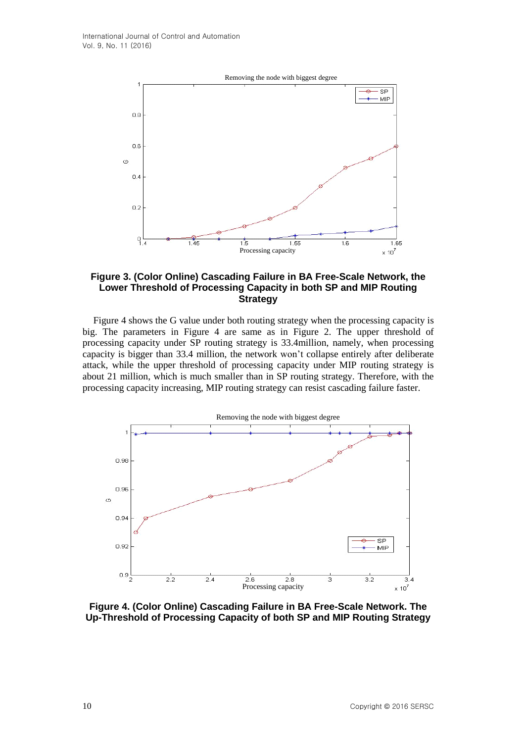

## **Figure 3. (Color Online) Cascading Failure in BA Free-Scale Network, the Lower Threshold of Processing Capacity in both SP and MIP Routing Strategy**

Figure 4 shows the G value under both routing strategy when the processing capacity is big. The parameters in Figure 4 are same as in Figure 2. The upper threshold of processing capacity under SP routing strategy is 33.4million, namely, when processing capacity is bigger than 33.4 million, the network won't collapse entirely after deliberate attack, while the upper threshold of processing capacity under MIP routing strategy is about 21 million, which is much smaller than in SP routing strategy. Therefore, with the processing capacity increasing, MIP routing strategy can resist cascading failure faster.



**Figure 4. (Color Online) Cascading Failure in BA Free-Scale Network. The Up-Threshold of Processing Capacity of both SP and MIP Routing Strategy**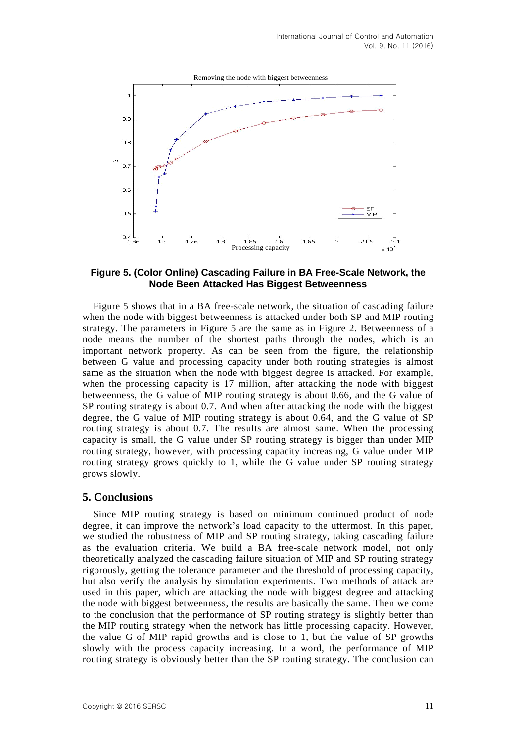

#### **Figure 5. (Color Online) Cascading Failure in BA Free-Scale Network, the Node Been Attacked Has Biggest Betweenness**

Figure 5 shows that in a BA free-scale network, the situation of cascading failure when the node with biggest betweenness is attacked under both SP and MIP routing strategy. The parameters in Figure 5 are the same as in Figure 2. Betweenness of a node means the number of the shortest paths through the nodes, which is an important network property. As can be seen from the figure, the relationship between G value and processing capacity under both routing strategies is almost same as the situation when the node with biggest degree is attacked. For example, when the processing capacity is 17 million, after attacking the node with biggest betweenness, the G value of MIP routing strategy is about 0.66, and the G value of SP routing strategy is about 0.7. And when after attacking the node with the biggest degree, the G value of MIP routing strategy is about 0.64, and the G value of SP routing strategy is about 0.7. The results are almost same. When the processing capacity is small, the G value under SP routing strategy is bigger than under MIP routing strategy, however, with processing capacity increasing, G value under MIP routing strategy grows quickly to 1, while the G value under SP routing strategy grows slowly.

## **5. Conclusions**

Since MIP routing strategy is based on minimum continued product of node degree, it can improve the network's load capacity to the uttermost. In this paper, we studied the robustness of MIP and SP routing strategy, taking cascading failure as the evaluation criteria. We build a BA free-scale network model, not only theoretically analyzed the cascading failure situation of MIP and SP routing strategy rigorously, getting the tolerance parameter and the threshold of processing capacity, but also verify the analysis by simulation experiments. Two methods of attack are used in this paper, which are attacking the node with biggest degree and attacking the node with biggest betweenness, the results are basically the same. Then we come to the conclusion that the performance of SP routing strategy is slightly better than the MIP routing strategy when the network has little processing capacity. However, the value G of MIP rapid growths and is close to 1, but the value of SP growths slowly with the process capacity increasing. In a word, the performance of MIP routing strategy is obviously better than the SP routing strategy. The conclusion can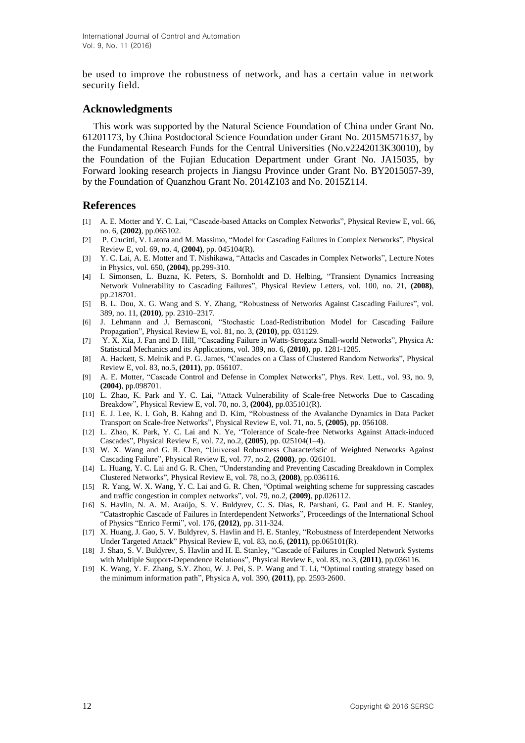be used to improve the robustness of network, and has a certain value in network security field.

## **Acknowledgments**

This work was supported by the Natural Science Foundation of China under Grant No. 61201173, by China Postdoctoral Science Foundation under Grant No. 2015M571637, by the Fundamental Research Funds for the Central Universities (No.v2242013K30010), by the Foundation of the Fujian Education Department under Grant No. JA15035, by Forward looking research projects in Jiangsu Province under Grant No. BY2015057-39, by the Foundation of Quanzhou Grant No. 2014Z103 and No. 2015Z114.

## **References**

- [1] A. E. Motter and Y. C. Lai, "Cascade-based Attacks on Complex Networks", Physical Review E, vol. 66, no. 6, **(2002)**, pp.065102.
- [2] P. Crucitti, V. Latora and M. Massimo, "Model for Cascading Failures in Complex Networks", Physical Review E, vol. 69, no. 4, **(2004)**, pp. 045104(R).
- [3] Y. C. Lai, A. E. Motter and T. Nishikawa, "Attacks and Cascades in Complex Networks", Lecture Notes in Physics, vol. 650, **(2004)**, pp.299-310.
- [4] I. Simonsen, L. Buzna, K. Peters, S. Bornholdt and D. Helbing, "Transient Dynamics Increasing Network Vulnerability to Cascading Failures", Physical Review Letters, vol. 100, no. 21, **(2008)**, pp.218701.
- [5] B. L. Dou, X. G. Wang and S. Y. Zhang, "Robustness of Networks Against Cascading Failures", [vol.](http://www.sciencedirect.com/science/journal/03784371/389/11) [389,](http://www.sciencedirect.com/science/journal/03784371/389/11) no. 11, **(2010)**, pp. 2310–2317.
- [6] J. Lehmann and J. Bernasconi, "Stochastic Load-Redistribution Model for Cascading Failure Propagation", Physical Review E, [vol.](http://journals.aps.org/pre/issues/81/3) 81, no. 3, **(2010)**, pp. [031129.](http://dx.doi.org/10.1103/PhysRevE.81.031129)
- [7] Y. X. Xia, J. Fan and D. Hill, "Cascading Failure in Watts-Strogatz Small-world Networks", Physica A: Statistical Mechanics and its Applications, vol. 389, no. 6, **(2010)**, pp. 1281-1285.
- [8] A. Hackett, S. Melnik and P. G. James, "Cascades on a Class of Clustered Random Networks", [Physical](http://www.researchgate.net/journal/1550-2376_Physical_Review_E) [Review](http://www.researchgate.net/journal/1550-2376_Physical_Review_E) E, vol. 83, no.5, **(2011)**, pp. 056107.
- [9] A. E. Motter, "Cascade Control and Defense in Complex Networks", Phys. Rev. Lett., [vol.](http://journals.aps.org/prl/issues/93/9) 93, no. 9, **(2004)**, pp.098701.
- [10] L. Zhao, K. Park and Y. C. Lai, "Attack Vulnerability of Scale-free Networks Due to Cascading Breakdow", Physical Review E, [vol.](http://journals.aps.org/prl/issues/93/9) 70, no. 3, **(2004)**, pp.035101(R).
- [11] E. J. Lee, K. I. Goh, B. Kahng and D. Kim, "Robustness of the Avalanche Dynamics in Data Packet Transport on Scale-free Networks", [Physical](http://www.researchgate.net/journal/1550-2376_Physical_Review_E) Review E, [vol.](http://journals.aps.org/prl/issues/93/9) 71, no. 5, **(2005)**, pp. 056108.
- [12] L. Zhao, K. Park, Y. C. Lai and N. Ye, "Tolerance of Scale-free Networks Against Attack-induced Cascades", [Physical](http://www.researchgate.net/journal/1550-2376_Physical_Review_E) Review E, vol. 72, no.2, **(2005)**, pp. 025104(1–4).
- [13] W. X. Wang and G. R. Chen, "Universal Robustness Characteristic of Weighted Networks Against Cascading Failure", [Physical](http://www.researchgate.net/journal/1550-2376_Physical_Review_E) Review E, vol. 77, no.2, **(2008)**, pp. 026101.
- [14] L. Huang, Y. C. Lai and G. R. Chen, "Understanding and Preventing Cascading Breakdown in Complex Clustered Networks", [Physical](http://www.researchgate.net/journal/1550-2376_Physical_Review_E) Review E, vol. 78, no.3, **(2008)**, pp.036116.
- [15] R. Yang, W. X. Wang, Y. C. Lai and G. R. Chen, "Optimal weighting scheme for suppressing cascades and traffic congestion in complex networks", vol. 79, no.2, **(2009)**, pp.026112.
- [16] S. Havlin, N. A. M. Araújo, S. V. Buldyrev, C. S. Dias, R. Parshani, G. Paul and H. E. Stanley, "Catastrophic Cascade of Failures in Interdependent Networks", Proceedings of the International School of Physics "Enrico Fermi", vol. 176, **(2012)**, pp. 311-324.
- [17] X. Huang, J. Gao, S. V. Buldyrev, S. Havlin and H. E. Stanley, "Robustness of Interdependent Networks Under Targeted Attack" [Physical](http://www.researchgate.net/journal/1550-2376_Physical_Review_E) Review E, vol. 83, no.6, **(2011)**, pp.065101(R).
- [18] J. Shao, S. V. Buldyrev, S. Havlin and H. E. Stanley, "Cascade of Failures in Coupled Network Systems with Multiple Support-Dependence Relations", [Physical](http://www.researchgate.net/journal/1550-2376_Physical_Review_E) Review E, vol. 83, no.3, **(2011)**, pp.036116.
- [19] K. Wang, Y. F. Zhang, S.Y. Zhou, W. J. Pei, S. P. Wang and T. Li, "Optimal routing strategy based on the minimum information path", Physica A, vol. 390, **(2011)**, pp. 2593-2600.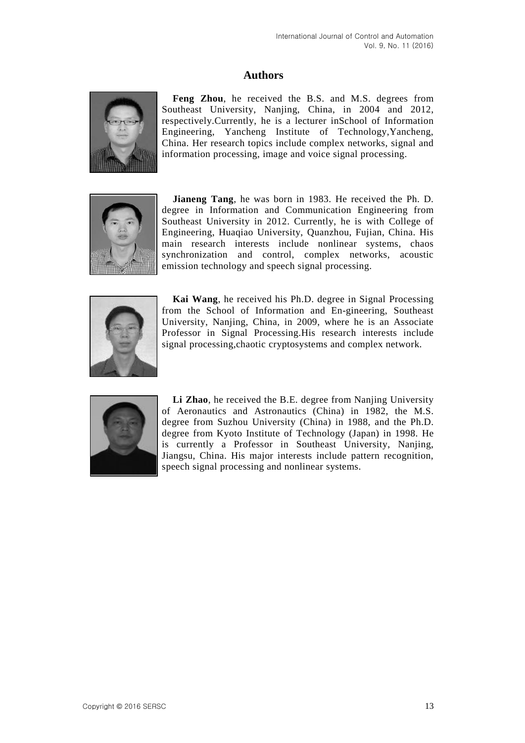## **Authors**



**Feng Zhou**, he received the B.S. and M.S. degrees from Southeast University, Nanjing, China, in 2004 and 2012, respectively.Currently, he is a lecturer inSchool of Information Engineering, Yancheng Institute of Technology,Yancheng, China. Her research topics include complex networks, signal and information processing, image and voice signal processing.



**Jianeng Tang**, he was born in 1983. He received the Ph. D. degree in Information and Communication Engineering from Southeast University in 2012. Currently, he is with College of Engineering, Huaqiao University, Quanzhou, Fujian, China. His main research interests include nonlinear systems, chaos synchronization and control, complex networks, acoustic emission technology and speech signal processing.



**Kai Wang**, he received his Ph.D. degree in Signal Processing from the School of Information and En-gineering, Southeast University, Nanjing, China, in 2009, where he is an Associate Professor in Signal Processing.His research interests include signal processing,chaotic cryptosystems and complex network.



**Li Zhao**, he received the B.E. degree from Nanjing University of Aeronautics and Astronautics (China) in 1982, the M.S. degree from Suzhou University (China) in 1988, and the Ph.D. degree from Kyoto Institute of Technology (Japan) in 1998. He is currently a Professor in Southeast University, Nanjing, Jiangsu, China. His major interests include pattern recognition, speech signal processing and nonlinear systems.